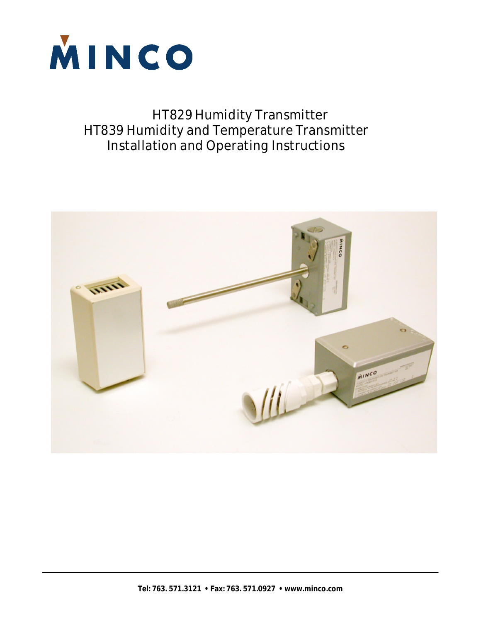

# HT829 Humidity Transmitter HT839 Humidity and Temperature Transmitter Installation and Operating Instructions

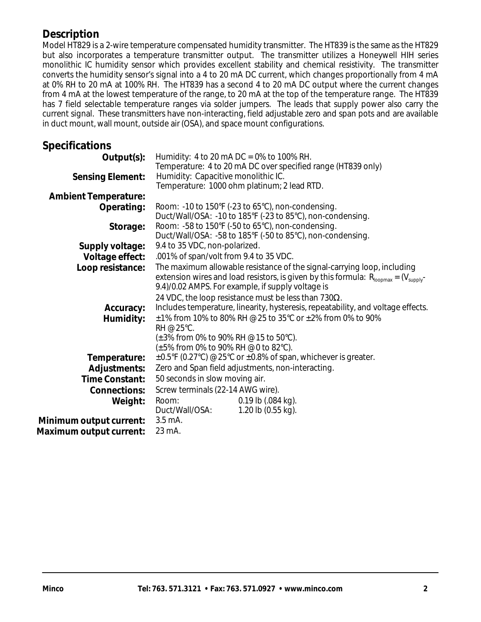# **Description**

Model HT829 is a 2-wire temperature compensated humidity transmitter. The HT839 is the same as the HT829 but also incorporates a temperature transmitter output. The transmitter utilizes a Honeywell HIH series monolithic IC humidity sensor which provides excellent stability and chemical resistivity. The transmitter converts the humidity sensor's signal into a 4 to 20 mA DC current, which changes proportionally from 4 mA at 0% RH to 20 mA at 100% RH. The HT839 has a second 4 to 20 mA DC output where the current changes from 4 mA at the lowest temperature of the range, to 20 mA at the top of the temperature range. The HT839 has 7 field selectable temperature ranges via solder jumpers. The leads that supply power also carry the current signal. These transmitters have non-interacting, field adjustable zero and span pots and are available in duct mount, wall mount, outside air (OSA), and space mount configurations.

# **Specifications**

| Humidity: 4 to 20 mA DC = $0\%$ to 100% RH.                                                                                  |  |  |  |  |
|------------------------------------------------------------------------------------------------------------------------------|--|--|--|--|
| Temperature: 4 to 20 mA DC over specified range (HT839 only)                                                                 |  |  |  |  |
| Humidity: Capacitive monolithic IC.                                                                                          |  |  |  |  |
| Temperature: 1000 ohm platinum; 2 lead RTD.                                                                                  |  |  |  |  |
|                                                                                                                              |  |  |  |  |
| Room: -10 to 150°F (-23 to 65°C), non-condensing.                                                                            |  |  |  |  |
| Duct/Wall/OSA: -10 to 185°F (-23 to 85°C), non-condensing.                                                                   |  |  |  |  |
| Room: $-58$ to 150°F ( $-50$ to 65°C), non-condensing.                                                                       |  |  |  |  |
| Duct/Wall/OSA: -58 to 185°F (-50 to 85°C), non-condensing.                                                                   |  |  |  |  |
| 9.4 to 35 VDC, non-polarized.                                                                                                |  |  |  |  |
| .001% of span/volt from 9.4 to 35 VDC.                                                                                       |  |  |  |  |
| The maximum allowable resistance of the signal-carrying loop, including                                                      |  |  |  |  |
| extension wires and load resistors, is given by this formula: $R_{\text{loopmax}} = (V_{\text{supply}} - V_{\text{supply}})$ |  |  |  |  |
| 9.4)/0.02 AMPS. For example, if supply voltage is                                                                            |  |  |  |  |
| 24 VDC, the loop resistance must be less than 730 $\Omega$ .                                                                 |  |  |  |  |
| Includes temperature, linearity, hysteresis, repeatability, and voltage effects.                                             |  |  |  |  |
| $\pm$ 1% from 10% to 80% RH @ 25 to 35°C or $\pm$ 2% from 0% to 90%                                                          |  |  |  |  |
| $RH \otimes 25^{\circ}C$ .                                                                                                   |  |  |  |  |
| $(\pm 3\%$ from 0% to 90% RH @ 15 to 50°C).                                                                                  |  |  |  |  |
| (±5% from 0% to 90% RH @ 0 to 82°C).                                                                                         |  |  |  |  |
| $\pm 0.5$ °F (0.27°C) @ 25°C or $\pm 0.8$ % of span, whichever is greater.                                                   |  |  |  |  |
| Zero and Span field adjustments, non-interacting.                                                                            |  |  |  |  |
| 50 seconds in slow moving air.                                                                                               |  |  |  |  |
| Screw terminals (22-14 AWG wire).                                                                                            |  |  |  |  |
| $0.19$ lb $(.084$ kg).<br>Room:                                                                                              |  |  |  |  |
| Duct/Wall/OSA:<br>1.20 lb $(0.55$ kg).                                                                                       |  |  |  |  |
| $3.5 \text{ mA}$ .                                                                                                           |  |  |  |  |
| 23 mA.                                                                                                                       |  |  |  |  |
|                                                                                                                              |  |  |  |  |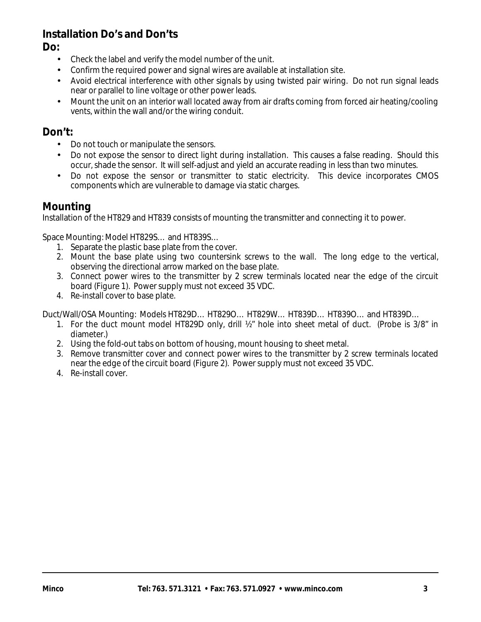# **Installation Do's and Don'ts**

**Do:**

- Check the label and verify the model number of the unit.
- Confirm the required power and signal wires are available at installation site.
- Avoid electrical interference with other signals by using twisted pair wiring. Do not run signal leads near or parallel to line voltage or other power leads.
- Mount the unit on an interior wall located away from air drafts coming from forced air heating/cooling vents, within the wall and/or the wiring conduit.

# **Don't:**

- Do not touch or manipulate the sensors.
- Do not expose the sensor to direct light during installation. This causes a false reading. Should this occur, shade the sensor. It will self-adjust and yield an accurate reading in less than two minutes.
- Do not expose the sensor or transmitter to static electricity. This device incorporates CMOS components which are vulnerable to damage via static charges.

# **Mounting**

Installation of the HT829 and HT839 consists of mounting the transmitter and connecting it to power.

Space Mounting: Model HT829S… and HT839S…

- 1. Separate the plastic base plate from the cover.
- 2. Mount the base plate using two countersink screws to the wall. The long edge to the vertical, observing the directional arrow marked on the base plate.
- 3. Connect power wires to the transmitter by 2 screw terminals located near the edge of the circuit board (Figure 1). Power supply must not exceed 35 VDC.
- 4. Re-install cover to base plate.

Duct/Wall/OSA Mounting: Models HT829D… HT829O… HT829W… HT839D… HT839O… and HT839D…

- 1. For the duct mount model HT829D only, drill ½" hole into sheet metal of duct. (Probe is 3/8" in diameter.)
- 2. Using the fold-out tabs on bottom of housing, mount housing to sheet metal.
- 3. Remove transmitter cover and connect power wires to the transmitter by 2 screw terminals located near the edge of the circuit board (Figure 2). Power supply must not exceed 35 VDC.
- 4. Re-install cover.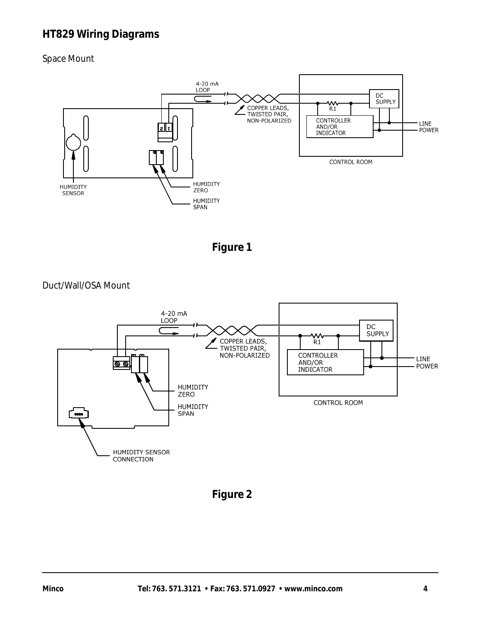# **HT829 Wiring Diagrams**

## Space Mount



**Figure 1**

Duct/Wall/OSA Mount



**Figure 2**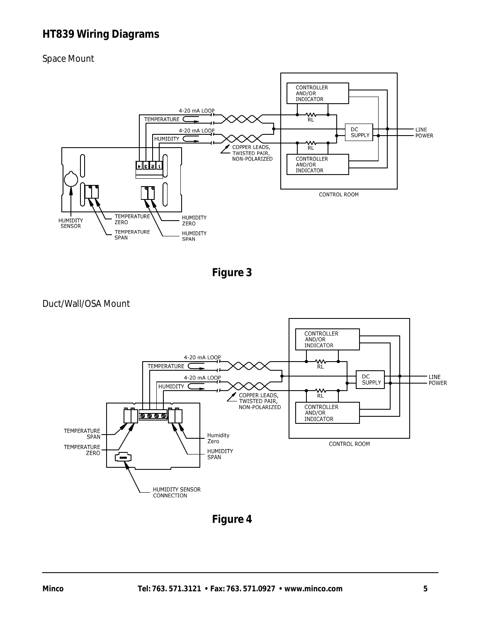# **HT839 Wiring Diagrams**

Space Mount



**Figure 3**





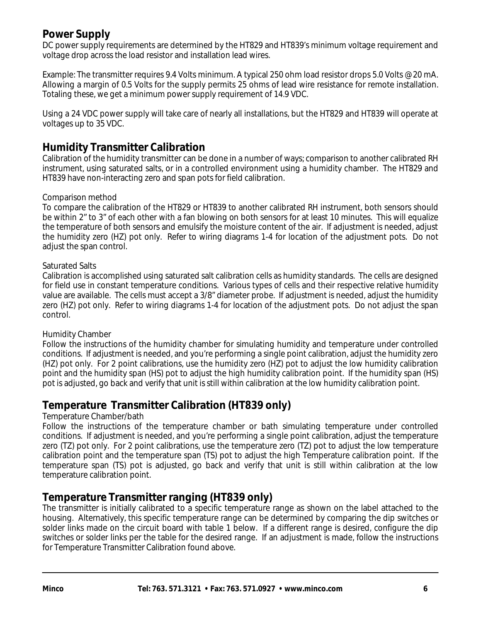# **Power Supply**

DC power supply requirements are determined by the HT829 and HT839's minimum voltage requirement and voltage drop across the load resistor and installation lead wires.

Example: The transmitter requires 9.4 Volts minimum. A typical 250 ohm load resistor drops 5.0 Volts @ 20 mA. Allowing a margin of 0.5 Volts for the supply permits 25 ohms of lead wire resistance for remote installation. Totaling these, we get a minimum power supply requirement of 14.9 VDC.

Using a 24 VDC power supply will take care of nearly all installations, but the HT829 and HT839 will operate at voltages up to 35 VDC.

# **Humidity Transmitter Calibration**

Calibration of the humidity transmitter can be done in a number of ways; comparison to another calibrated RH instrument, using saturated salts, or in a controlled environment using a humidity chamber. The HT829 and HT839 have non-interacting zero and span pots for field calibration.

#### Comparison method

To compare the calibration of the HT829 or HT839 to another calibrated RH instrument, both sensors should be within 2" to 3" of each other with a fan blowing on both sensors for at least 10 minutes. This will equalize the temperature of both sensors and emulsify the moisture content of the air. If adjustment is needed, adjust the humidity zero (HZ) pot only. Refer to wiring diagrams 1-4 for location of the adjustment pots. Do not adjust the span control.

#### Saturated Salts

Calibration is accomplished using saturated salt calibration cells as humidity standards. The cells are designed for field use in constant temperature conditions. Various types of cells and their respective relative humidity value are available. The cells must accept a 3/8" diameter probe. If adjustment is needed, adjust the humidity zero (HZ) pot only. Refer to wiring diagrams 1-4 for location of the adjustment pots. Do not adjust the span control.

#### Humidity Chamber

Follow the instructions of the humidity chamber for simulating humidity and temperature under controlled conditions. If adjustment is needed, and you're performing a single point calibration, adjust the humidity zero (HZ) pot only. For 2 point calibrations, use the humidity zero (HZ) pot to adjust the low humidity calibration point and the humidity span (HS) pot to adjust the high humidity calibration point. If the humidity span (HS) pot is adjusted, go back and verify that unit is still within calibration at the low humidity calibration point.

# **Temperature Transmitter Calibration (HT839 only)**

#### Temperature Chamber/bath

Follow the instructions of the temperature chamber or bath simulating temperature under controlled conditions. If adjustment is needed, and you're performing a single point calibration, adjust the temperature zero (TZ) pot only. For 2 point calibrations, use the temperature zero (TZ) pot to adjust the low temperature calibration point and the temperature span (TS) pot to adjust the high Temperature calibration point. If the temperature span (TS) pot is adjusted, go back and verify that unit is still within calibration at the low temperature calibration point.

## **Temperature Transmitter ranging (HT839 only)**

The transmitter is initially calibrated to a specific temperature range as shown on the label attached to the housing. Alternatively, this specific temperature range can be determined by comparing the dip switches or solder links made on the circuit board with table 1 below. If a different range is desired, configure the dip switches or solder links per the table for the desired range. If an adjustment is made, follow the instructions for Temperature Transmitter Calibration found above.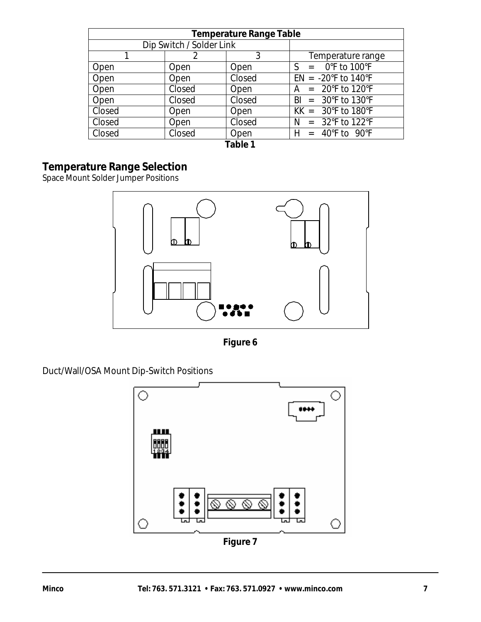| <b>Temperature Range Table</b> |                          |        |                                       |  |  |  |
|--------------------------------|--------------------------|--------|---------------------------------------|--|--|--|
|                                | Dip Switch / Solder Link |        |                                       |  |  |  |
|                                |                          | 3      | Temperature range                     |  |  |  |
| Open                           | Open                     | Open   | $S = 0$ °F to 100°F                   |  |  |  |
| Open                           | Open                     | Closed | $EN = -20^{\circ}F$ to 140°F          |  |  |  |
| Open                           | Closed                   | Open   | $A = 20^{\circ}F$ to 120°F            |  |  |  |
| Open                           | Closed                   | Closed | $BI = 30^{\circ}F$ to 130°F           |  |  |  |
| Closed                         | Open                     | Open   | $KK = 30^{\circ}F$ to 180°F           |  |  |  |
| Closed                         | Open                     | Closed | $N = 32^{\circ}F$ to 122 $^{\circ}F$  |  |  |  |
| Closed                         | Closed                   | Open   | $H = 40^{\circ}$ F to 90 $^{\circ}$ F |  |  |  |
| Tabla 1                        |                          |        |                                       |  |  |  |

**Table 1**

# **Temperature Range Selection**

Space Mount Solder Jumper Positions



**Figure 6**

Duct/Wall/OSA Mount Dip-Switch Positions

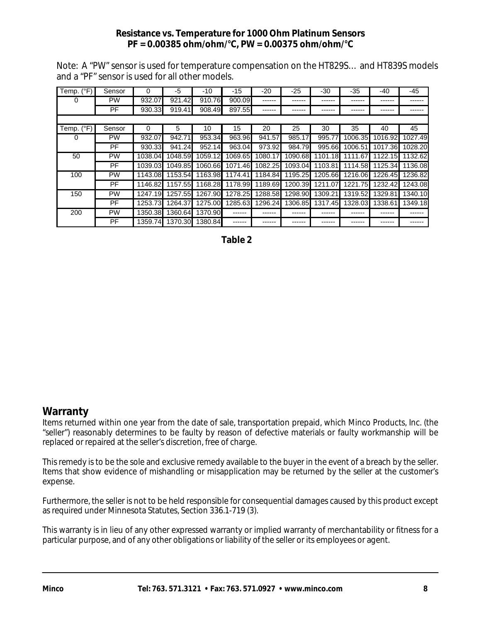#### **Resistance vs. Temperature for 1000 Ohm Platinum Sensors PF = 0.00385 ohm/ohm/°C, PW = 0.00375 ohm/ohm/°C**

Note: A "PW" sensor is used for temperature compensation on the HT829S… and HT839S models and a "PF" sensor is used for all other models.

| Temp. (°F)          | Sensor    | 0       | -5      | -10     | -15     | $-20$   | $-25$   | -30     | -35     | $-40$   | -45     |
|---------------------|-----------|---------|---------|---------|---------|---------|---------|---------|---------|---------|---------|
| 0                   | <b>PW</b> | 932.07  | 921.42  | 910.76  | 900.09  | ------  |         |         | ------  |         |         |
|                     | <b>PF</b> | 930.33  | 919.41  | 908.49  | 897.55  |         |         |         |         |         |         |
|                     |           |         |         |         |         |         |         |         |         |         |         |
| Temp. $(^{\circ}F)$ | Sensor    | 0       | 5       | 10      | 15      | 20      | 25      | 30      | 35      | 40      | 45      |
| 0                   | <b>PW</b> | 932.07  | 942.71  | 953.34  | 963.96  | 941.57  | 985.17  | 995.77  | 1006.35 | 1016.92 | 1027.49 |
|                     | PF.       | 930.33  | 941.24  | 952.14  | 963.04  | 973.92  | 984.79  | 995.66  | 1006.51 | 1017.36 | 1028.20 |
| 50                  | <b>PW</b> | 1038.04 | 1048.59 | 1059.12 | 1069.65 | 1080.17 | 1090.68 | 1101.18 | 1111.67 | 1122.15 | 1132.62 |
|                     | PF.       | 1039.03 | 1049.85 | 1060.66 | 1071.46 | 1082.25 | 1093.04 | 1103.81 | 1114.58 | 1125.34 | 1136.08 |
| 100                 | <b>PW</b> | 1143.08 | 1153.54 | 1163.98 | 1174.41 | 1184.84 | 1195.25 | 1205.66 | 1216.06 | 1226.45 | 1236.82 |
|                     | PF.       | 1146.82 | 1157.55 | 1168.28 | 1178.99 | 1189.69 | 1200.39 | 1211.07 | 1221.75 | 1232.42 | 1243.08 |
| 150                 | <b>PW</b> | 1247.19 | 1257.55 | 1267.90 | 1278.25 | 1288.58 | 1298.90 | 1309.21 | 1319.52 | 1329.81 | 1340.10 |
|                     | PF.       | 1253.73 | 1264.37 | 1275.00 | 1285.63 | 1296.24 | 1306.85 | 1317.45 | 1328.03 | 1338.61 | 1349.18 |
| 200                 | <b>PW</b> | 1350.38 | 1360.64 | 1370.90 |         |         |         |         | ------  |         |         |
|                     | PF.       | 1359.74 | 1370.30 | 1380.84 | ------  |         |         | ------  | ------  | ------  |         |

 **Table 2**

# **Warranty**

Items returned within one year from the date of sale, transportation prepaid, which Minco Products, Inc. (the "seller") reasonably determines to be faulty by reason of defective materials or faulty workmanship will be replaced or repaired at the seller's discretion, free of charge.

This remedy is to be the sole and exclusive remedy available to the buyer in the event of a breach by the seller. Items that show evidence of mishandling or misapplication may be returned by the seller at the customer's expense.

Furthermore, the seller is not to be held responsible for consequential damages caused by this product except as required under Minnesota Statutes, Section 336.1-719 (3).

This warranty is in lieu of any other expressed warranty or implied warranty of merchantability or fitness for a particular purpose, and of any other obligations or liability of the seller or its employees or agent.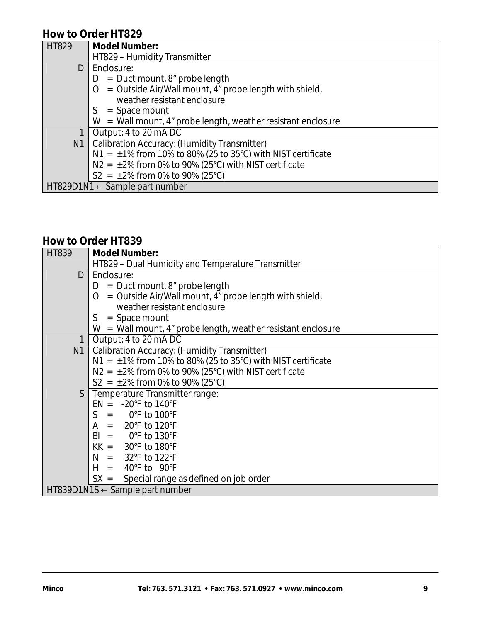# **How to Order HT829**

| <b>HT829</b> | <b>Model Number:</b>                                                     |
|--------------|--------------------------------------------------------------------------|
|              | HT829 - Humidity Transmitter                                             |
| D            | Enclosure:                                                               |
|              | $=$ Duct mount, 8" probe length<br>D                                     |
|              | = Outside Air/Wall mount, 4" probe length with shield,<br>$\overline{O}$ |
|              | weather resistant enclosure                                              |
|              | $=$ Space mount<br>S.                                                    |
|              | $W =$ Wall mount, 4" probe length, weather resistant enclosure           |
|              | Output: 4 to 20 mA DC                                                    |
|              | N1   Calibration Accuracy: (Humidity Transmitter)                        |
|              | $N1 = \pm 1\%$ from 10% to 80% (25 to 35°C) with NIST certificate        |
|              | $N2 = \pm 2\%$ from 0% to 90% (25°C) with NIST certificate               |
|              | $S2 = \pm 2\%$ from 0% to 90% (25°C)                                     |
|              | $HT829D1N1 \leftarrow$ Sample part number                                |

# **How to Order HT839**

| HT839 | <b>Model Number:</b>                                             |  |  |  |  |  |  |
|-------|------------------------------------------------------------------|--|--|--|--|--|--|
|       | HT829 - Dual Humidity and Temperature Transmitter                |  |  |  |  |  |  |
| D     | LEnclosure:                                                      |  |  |  |  |  |  |
|       | $=$ Duct mount, 8" probe length<br>D                             |  |  |  |  |  |  |
|       | = Outside Air/Wall mount, 4" probe length with shield,<br>O      |  |  |  |  |  |  |
|       | weather resistant enclosure                                      |  |  |  |  |  |  |
|       | $S = Space mount$                                                |  |  |  |  |  |  |
|       | $W =$ Wall mount, 4" probe length, weather resistant enclosure   |  |  |  |  |  |  |
| 1     | Output: 4 to 20 mA DC                                            |  |  |  |  |  |  |
|       | N1   Calibration Accuracy: (Humidity Transmitter)                |  |  |  |  |  |  |
|       | N1 = $\pm$ 1% from 10% to 80% (25 to 35°C) with NIST certificate |  |  |  |  |  |  |
|       | $N2 = \pm 2\%$ from 0% to 90% (25°C) with NIST certificate       |  |  |  |  |  |  |
|       | $S2 = \pm 2\%$ from 0% to 90% (25°C)                             |  |  |  |  |  |  |
|       | S   Temperature Transmitter range:                               |  |  |  |  |  |  |
|       | $EN = -20^{\circ}F$ to 140°F                                     |  |  |  |  |  |  |
|       | $S = 0^\circ F$ to 100°F                                         |  |  |  |  |  |  |
|       | $A = 20^{\circ}F$ to 120°F                                       |  |  |  |  |  |  |
|       | $BI = 0^{\circ}F$ to 130°F                                       |  |  |  |  |  |  |
|       | $KK = 30^{\circ}F$ to 180°F                                      |  |  |  |  |  |  |
|       | $N = 32^{\circ}F$ to 122 $^{\circ}F$                             |  |  |  |  |  |  |
|       | $H = 40^{\circ}F$ to 90°F                                        |  |  |  |  |  |  |
|       | $SX =$ Special range as defined on job order                     |  |  |  |  |  |  |
|       | $HT839D1N1S \leftarrow$ Sample part number                       |  |  |  |  |  |  |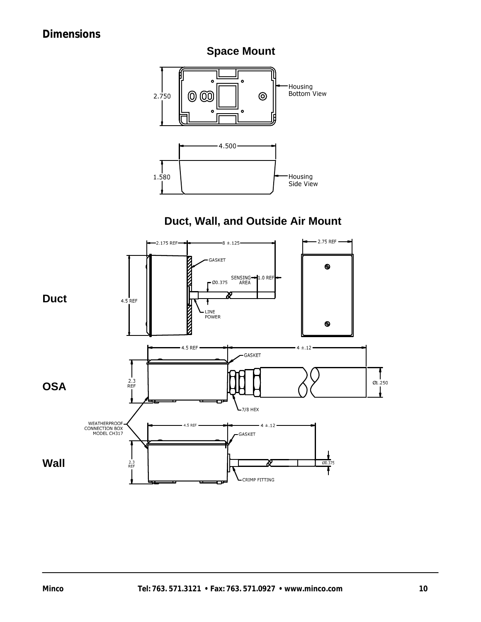# **Dimensions**



# **Duct, Wall, and Outside Air Mount**

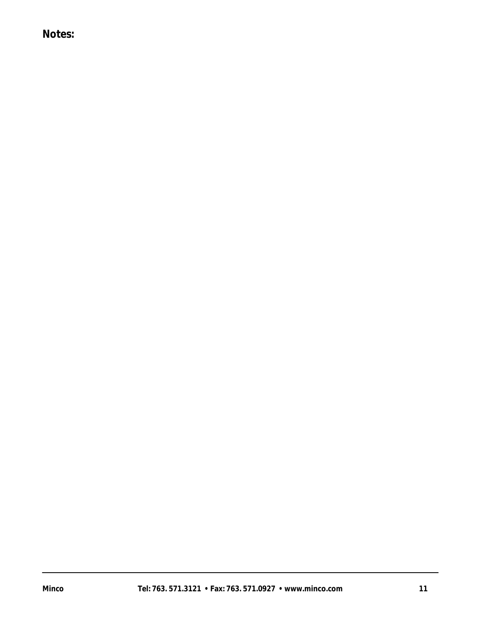# **Notes:**